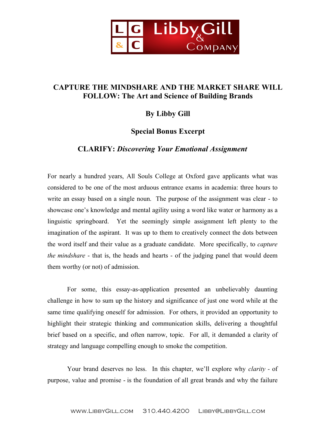

# **CAPTURE THE MINDSHARE AND THE MARKET SHARE WILL FOLLOW: The Art and Science of Building Brands**

## **By Libby Gill**

## **Special Bonus Excerpt**

## **CLARIFY:** *Discovering Your Emotional Assignment*

For nearly a hundred years, All Souls College at Oxford gave applicants what was considered to be one of the most arduous entrance exams in academia: three hours to write an essay based on a single noun. The purpose of the assignment was clear - to showcase one's knowledge and mental agility using a word like water or harmony as a linguistic springboard. Yet the seemingly simple assignment left plenty to the imagination of the aspirant. It was up to them to creatively connect the dots between the word itself and their value as a graduate candidate. More specifically, to *capture the mindshare* - that is, the heads and hearts - of the judging panel that would deem them worthy (or not) of admission.

For some, this essay-as-application presented an unbelievably daunting challenge in how to sum up the history and significance of just one word while at the same time qualifying oneself for admission. For others, it provided an opportunity to highlight their strategic thinking and communication skills, delivering a thoughtful brief based on a specific, and often narrow, topic. For all, it demanded a clarity of strategy and language compelling enough to smoke the competition.

Your brand deserves no less. In this chapter, we'll explore why *clarity -* of purpose, value and promise - is the foundation of all great brands and why the failure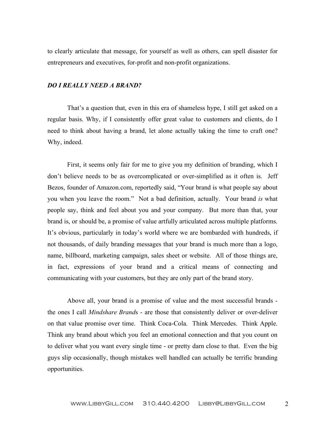to clearly articulate that message, for yourself as well as others, can spell disaster for entrepreneurs and executives, for-profit and non-profit organizations.

#### *DO I REALLY NEED A BRAND?*

That's a question that, even in this era of shameless hype, I still get asked on a regular basis. Why, if I consistently offer great value to customers and clients, do I need to think about having a brand, let alone actually taking the time to craft one? Why, indeed.

First, it seems only fair for me to give you my definition of branding, which I don't believe needs to be as overcomplicated or over-simplified as it often is. Jeff Bezos, founder of Amazon.com, reportedly said, "Your brand is what people say about you when you leave the room." Not a bad definition, actually. Your brand *is* what people say, think and feel about you and your company. But more than that, your brand is, or should be, a promise of value artfully articulated across multiple platforms. It's obvious, particularly in today's world where we are bombarded with hundreds, if not thousands, of daily branding messages that your brand is much more than a logo, name, billboard, marketing campaign, sales sheet or website. All of those things are, in fact, expressions of your brand and a critical means of connecting and communicating with your customers, but they are only part of the brand story.

Above all, your brand is a promise of value and the most successful brands the ones I call *Mindshare Brand*s - are those that consistently deliver or over-deliver on that value promise over time. Think Coca-Cola. Think Mercedes. Think Apple. Think any brand about which you feel an emotional connection and that you count on to deliver what you want every single time - or pretty darn close to that. Even the big guys slip occasionally, though mistakes well handled can actually be terrific branding opportunities.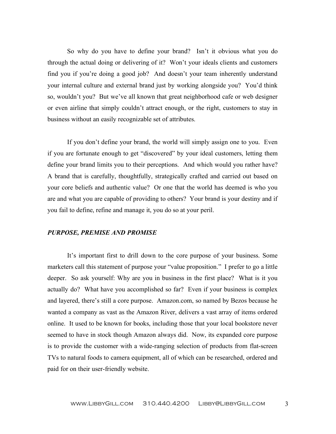So why do you have to define your brand? Isn't it obvious what you do through the actual doing or delivering of it? Won't your ideals clients and customers find you if you're doing a good job? And doesn't your team inherently understand your internal culture and external brand just by working alongside you? You'd think so, wouldn't you? But we've all known that great neighborhood cafe or web designer or even airline that simply couldn't attract enough, or the right, customers to stay in business without an easily recognizable set of attributes.

If you don't define your brand, the world will simply assign one to you. Even if you are fortunate enough to get "discovered" by your ideal customers, letting them define your brand limits you to their perceptions. And which would you rather have? A brand that is carefully, thoughtfully, strategically crafted and carried out based on your core beliefs and authentic value? Or one that the world has deemed is who you are and what you are capable of providing to others? Your brand is your destiny and if you fail to define, refine and manage it, you do so at your peril.

#### *PURPOSE, PREMISE AND PROMISE*

It's important first to drill down to the core purpose of your business. Some marketers call this statement of purpose your "value proposition." I prefer to go a little deeper. So ask yourself: Why are you in business in the first place? What is it you actually do? What have you accomplished so far? Even if your business is complex and layered, there's still a core purpose. Amazon.com, so named by Bezos because he wanted a company as vast as the Amazon River, delivers a vast array of items ordered online. It used to be known for books, including those that your local bookstore never seemed to have in stock though Amazon always did. Now, its expanded core purpose is to provide the customer with a wide-ranging selection of products from flat-screen TVs to natural foods to camera equipment, all of which can be researched, ordered and paid for on their user-friendly website.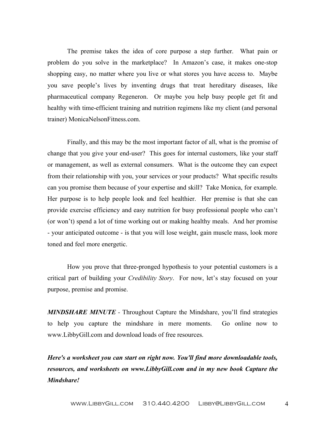The premise takes the idea of core purpose a step further. What pain or problem do you solve in the marketplace? In Amazon's case, it makes one-stop shopping easy, no matter where you live or what stores you have access to. Maybe you save people's lives by inventing drugs that treat hereditary diseases, like pharmaceutical company Regeneron. Or maybe you help busy people get fit and healthy with time-efficient training and nutrition regimens like my client (and personal trainer) MonicaNelsonFitness.com.

Finally, and this may be the most important factor of all, what is the promise of change that you give your end-user? This goes for internal customers, like your staff or management, as well as external consumers. What is the outcome they can expect from their relationship with you, your services or your products? What specific results can you promise them because of your expertise and skill? Take Monica, for example. Her purpose is to help people look and feel healthier. Her premise is that she can provide exercise efficiency and easy nutrition for busy professional people who can't (or won't) spend a lot of time working out or making healthy meals. And her promise - your anticipated outcome - is that you will lose weight, gain muscle mass, look more toned and feel more energetic.

How you prove that three-pronged hypothesis to your potential customers is a critical part of building your *Credibility Story*. For now, let's stay focused on your purpose, premise and promise.

*MINDSHARE MINUTE -* Throughout Capture the Mindshare, you'll find strategies to help you capture the mindshare in mere moments. Go online now to www.LibbyGill.com and download loads of free resources.

*Here's a worksheet you can start on right now. You'll find more downloadable tools, resources, and worksheets on www.LibbyGill.com and in my new book Capture the Mindshare!*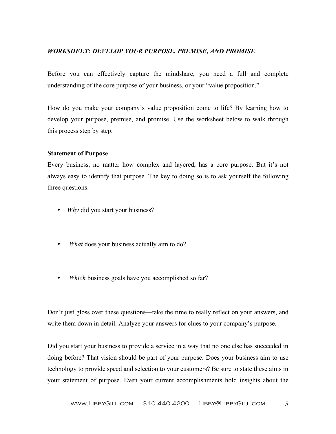### *WORKSHEET: DEVELOP YOUR PURPOSE, PREMISE, AND PROMISE*

Before you can effectively capture the mindshare, you need a full and complete understanding of the core purpose of your business, or your "value proposition."

How do you make your company's value proposition come to life? By learning how to develop your purpose, premise, and promise. Use the worksheet below to walk through this process step by step.

#### **Statement of Purpose**

Every business, no matter how complex and layered, has a core purpose. But it's not always easy to identify that purpose. The key to doing so is to ask yourself the following three questions:

- *Why* did you start your business?
- *What* does your business actually aim to do?
- *Which* business goals have you accomplished so far?

Don't just gloss over these questions—take the time to really reflect on your answers, and write them down in detail. Analyze your answers for clues to your company's purpose.

Did you start your business to provide a service in a way that no one else has succeeded in doing before? That vision should be part of your purpose. Does your business aim to use technology to provide speed and selection to your customers? Be sure to state these aims in your statement of purpose. Even your current accomplishments hold insights about the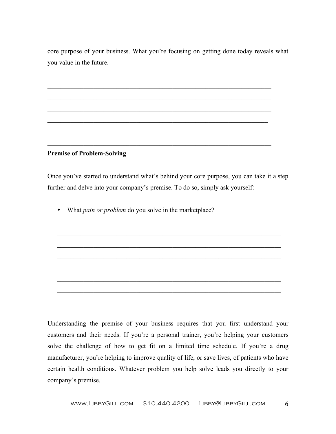core purpose of your business. What you're focusing on getting done today reveals what you value in the future.

 $\mathcal{L}_\mathcal{L} = \{ \mathcal{L}_\mathcal{L} = \{ \mathcal{L}_\mathcal{L} = \{ \mathcal{L}_\mathcal{L} = \{ \mathcal{L}_\mathcal{L} = \{ \mathcal{L}_\mathcal{L} = \{ \mathcal{L}_\mathcal{L} = \{ \mathcal{L}_\mathcal{L} = \{ \mathcal{L}_\mathcal{L} = \{ \mathcal{L}_\mathcal{L} = \{ \mathcal{L}_\mathcal{L} = \{ \mathcal{L}_\mathcal{L} = \{ \mathcal{L}_\mathcal{L} = \{ \mathcal{L}_\mathcal{L} = \{ \mathcal{L}_\mathcal{$ 

 $\mathcal{L}_\mathcal{L} = \{ \mathcal{L}_\mathcal{L} = \{ \mathcal{L}_\mathcal{L} = \{ \mathcal{L}_\mathcal{L} = \{ \mathcal{L}_\mathcal{L} = \{ \mathcal{L}_\mathcal{L} = \{ \mathcal{L}_\mathcal{L} = \{ \mathcal{L}_\mathcal{L} = \{ \mathcal{L}_\mathcal{L} = \{ \mathcal{L}_\mathcal{L} = \{ \mathcal{L}_\mathcal{L} = \{ \mathcal{L}_\mathcal{L} = \{ \mathcal{L}_\mathcal{L} = \{ \mathcal{L}_\mathcal{L} = \{ \mathcal{L}_\mathcal{$ 

 $\mathcal{L}_\mathcal{L} = \{ \mathcal{L}_\mathcal{L} = \{ \mathcal{L}_\mathcal{L} = \{ \mathcal{L}_\mathcal{L} = \{ \mathcal{L}_\mathcal{L} = \{ \mathcal{L}_\mathcal{L} = \{ \mathcal{L}_\mathcal{L} = \{ \mathcal{L}_\mathcal{L} = \{ \mathcal{L}_\mathcal{L} = \{ \mathcal{L}_\mathcal{L} = \{ \mathcal{L}_\mathcal{L} = \{ \mathcal{L}_\mathcal{L} = \{ \mathcal{L}_\mathcal{L} = \{ \mathcal{L}_\mathcal{L} = \{ \mathcal{L}_\mathcal{$ 

 $\mathcal{L}_\mathcal{L} = \{ \mathcal{L}_\mathcal{L} = \{ \mathcal{L}_\mathcal{L} = \{ \mathcal{L}_\mathcal{L} = \{ \mathcal{L}_\mathcal{L} = \{ \mathcal{L}_\mathcal{L} = \{ \mathcal{L}_\mathcal{L} = \{ \mathcal{L}_\mathcal{L} = \{ \mathcal{L}_\mathcal{L} = \{ \mathcal{L}_\mathcal{L} = \{ \mathcal{L}_\mathcal{L} = \{ \mathcal{L}_\mathcal{L} = \{ \mathcal{L}_\mathcal{L} = \{ \mathcal{L}_\mathcal{L} = \{ \mathcal{L}_\mathcal{$ 

 $\mathcal{L}_\text{max} = \mathcal{L}_\text{max} = \mathcal{L}_\text{max} = \mathcal{L}_\text{max} = \mathcal{L}_\text{max} = \mathcal{L}_\text{max} = \mathcal{L}_\text{max} = \mathcal{L}_\text{max} = \mathcal{L}_\text{max} = \mathcal{L}_\text{max} = \mathcal{L}_\text{max} = \mathcal{L}_\text{max} = \mathcal{L}_\text{max} = \mathcal{L}_\text{max} = \mathcal{L}_\text{max} = \mathcal{L}_\text{max} = \mathcal{L}_\text{max} = \mathcal{L}_\text{max} = \mathcal{$ 

 $\mathcal{L}_\text{max} = \mathcal{L}_\text{max} = \mathcal{L}_\text{max} = \mathcal{L}_\text{max} = \mathcal{L}_\text{max} = \mathcal{L}_\text{max} = \mathcal{L}_\text{max} = \mathcal{L}_\text{max} = \mathcal{L}_\text{max} = \mathcal{L}_\text{max} = \mathcal{L}_\text{max} = \mathcal{L}_\text{max} = \mathcal{L}_\text{max} = \mathcal{L}_\text{max} = \mathcal{L}_\text{max} = \mathcal{L}_\text{max} = \mathcal{L}_\text{max} = \mathcal{L}_\text{max} = \mathcal{$ 

**Premise of Problem-Solving**

Once you've started to understand what's behind your core purpose, you can take it a step further and delve into your company's premise. To do so, simply ask yourself:

 $\mathcal{L}_\mathcal{L} = \{ \mathcal{L}_\mathcal{L} = \{ \mathcal{L}_\mathcal{L} = \{ \mathcal{L}_\mathcal{L} = \{ \mathcal{L}_\mathcal{L} = \{ \mathcal{L}_\mathcal{L} = \{ \mathcal{L}_\mathcal{L} = \{ \mathcal{L}_\mathcal{L} = \{ \mathcal{L}_\mathcal{L} = \{ \mathcal{L}_\mathcal{L} = \{ \mathcal{L}_\mathcal{L} = \{ \mathcal{L}_\mathcal{L} = \{ \mathcal{L}_\mathcal{L} = \{ \mathcal{L}_\mathcal{L} = \{ \mathcal{L}_\mathcal{$ 

 $\mathcal{L}_\mathcal{L} = \{ \mathcal{L}_\mathcal{L} = \{ \mathcal{L}_\mathcal{L} = \{ \mathcal{L}_\mathcal{L} = \{ \mathcal{L}_\mathcal{L} = \{ \mathcal{L}_\mathcal{L} = \{ \mathcal{L}_\mathcal{L} = \{ \mathcal{L}_\mathcal{L} = \{ \mathcal{L}_\mathcal{L} = \{ \mathcal{L}_\mathcal{L} = \{ \mathcal{L}_\mathcal{L} = \{ \mathcal{L}_\mathcal{L} = \{ \mathcal{L}_\mathcal{L} = \{ \mathcal{L}_\mathcal{L} = \{ \mathcal{L}_\mathcal{$ 

 $\mathcal{L}_\mathcal{L} = \{ \mathcal{L}_\mathcal{L} = \{ \mathcal{L}_\mathcal{L} = \{ \mathcal{L}_\mathcal{L} = \{ \mathcal{L}_\mathcal{L} = \{ \mathcal{L}_\mathcal{L} = \{ \mathcal{L}_\mathcal{L} = \{ \mathcal{L}_\mathcal{L} = \{ \mathcal{L}_\mathcal{L} = \{ \mathcal{L}_\mathcal{L} = \{ \mathcal{L}_\mathcal{L} = \{ \mathcal{L}_\mathcal{L} = \{ \mathcal{L}_\mathcal{L} = \{ \mathcal{L}_\mathcal{L} = \{ \mathcal{L}_\mathcal{$ 

 $\mathcal{L}_\mathcal{L} = \{ \mathcal{L}_\mathcal{L} = \{ \mathcal{L}_\mathcal{L} = \{ \mathcal{L}_\mathcal{L} = \{ \mathcal{L}_\mathcal{L} = \{ \mathcal{L}_\mathcal{L} = \{ \mathcal{L}_\mathcal{L} = \{ \mathcal{L}_\mathcal{L} = \{ \mathcal{L}_\mathcal{L} = \{ \mathcal{L}_\mathcal{L} = \{ \mathcal{L}_\mathcal{L} = \{ \mathcal{L}_\mathcal{L} = \{ \mathcal{L}_\mathcal{L} = \{ \mathcal{L}_\mathcal{L} = \{ \mathcal{L}_\mathcal{$ 

 $\mathcal{L}_\mathcal{L} = \{ \mathcal{L}_\mathcal{L} = \{ \mathcal{L}_\mathcal{L} = \{ \mathcal{L}_\mathcal{L} = \{ \mathcal{L}_\mathcal{L} = \{ \mathcal{L}_\mathcal{L} = \{ \mathcal{L}_\mathcal{L} = \{ \mathcal{L}_\mathcal{L} = \{ \mathcal{L}_\mathcal{L} = \{ \mathcal{L}_\mathcal{L} = \{ \mathcal{L}_\mathcal{L} = \{ \mathcal{L}_\mathcal{L} = \{ \mathcal{L}_\mathcal{L} = \{ \mathcal{L}_\mathcal{L} = \{ \mathcal{L}_\mathcal{$ 

 $\mathcal{L}_\mathcal{L} = \{ \mathcal{L}_\mathcal{L} = \{ \mathcal{L}_\mathcal{L} = \{ \mathcal{L}_\mathcal{L} = \{ \mathcal{L}_\mathcal{L} = \{ \mathcal{L}_\mathcal{L} = \{ \mathcal{L}_\mathcal{L} = \{ \mathcal{L}_\mathcal{L} = \{ \mathcal{L}_\mathcal{L} = \{ \mathcal{L}_\mathcal{L} = \{ \mathcal{L}_\mathcal{L} = \{ \mathcal{L}_\mathcal{L} = \{ \mathcal{L}_\mathcal{L} = \{ \mathcal{L}_\mathcal{L} = \{ \mathcal{L}_\mathcal{$ 

• What *pain or problem* do you solve in the marketplace?

Understanding the premise of your business requires that you first understand your customers and their needs. If you're a personal trainer, you're helping your customers solve the challenge of how to get fit on a limited time schedule. If you're a drug manufacturer, you're helping to improve quality of life, or save lives, of patients who have certain health conditions. Whatever problem you help solve leads you directly to your company's premise.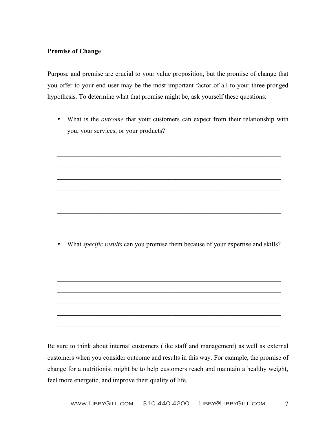### **Promise of Change**

Purpose and premise are crucial to your value proposition, but the promise of change that you offer to your end user may be the most important factor of all to your three-pronged hypothesis. To determine what that promise might be, ask yourself these questions:

• What is the *outcome* that your customers can expect from their relationship with you, your services, or your products?

 $\mathcal{L}_\text{max} = \mathcal{L}_\text{max} = \mathcal{L}_\text{max} = \mathcal{L}_\text{max} = \mathcal{L}_\text{max} = \mathcal{L}_\text{max} = \mathcal{L}_\text{max} = \mathcal{L}_\text{max} = \mathcal{L}_\text{max} = \mathcal{L}_\text{max} = \mathcal{L}_\text{max} = \mathcal{L}_\text{max} = \mathcal{L}_\text{max} = \mathcal{L}_\text{max} = \mathcal{L}_\text{max} = \mathcal{L}_\text{max} = \mathcal{L}_\text{max} = \mathcal{L}_\text{max} = \mathcal{$ 

 $\mathcal{L}_\text{max} = \mathcal{L}_\text{max} = \mathcal{L}_\text{max} = \mathcal{L}_\text{max} = \mathcal{L}_\text{max} = \mathcal{L}_\text{max} = \mathcal{L}_\text{max} = \mathcal{L}_\text{max} = \mathcal{L}_\text{max} = \mathcal{L}_\text{max} = \mathcal{L}_\text{max} = \mathcal{L}_\text{max} = \mathcal{L}_\text{max} = \mathcal{L}_\text{max} = \mathcal{L}_\text{max} = \mathcal{L}_\text{max} = \mathcal{L}_\text{max} = \mathcal{L}_\text{max} = \mathcal{$ 

 $\mathcal{L}_\mathcal{L} = \{ \mathcal{L}_\mathcal{L} = \{ \mathcal{L}_\mathcal{L} = \{ \mathcal{L}_\mathcal{L} = \{ \mathcal{L}_\mathcal{L} = \{ \mathcal{L}_\mathcal{L} = \{ \mathcal{L}_\mathcal{L} = \{ \mathcal{L}_\mathcal{L} = \{ \mathcal{L}_\mathcal{L} = \{ \mathcal{L}_\mathcal{L} = \{ \mathcal{L}_\mathcal{L} = \{ \mathcal{L}_\mathcal{L} = \{ \mathcal{L}_\mathcal{L} = \{ \mathcal{L}_\mathcal{L} = \{ \mathcal{L}_\mathcal{$ 

 $\mathcal{L}_\mathcal{L} = \{ \mathcal{L}_\mathcal{L} = \{ \mathcal{L}_\mathcal{L} = \{ \mathcal{L}_\mathcal{L} = \{ \mathcal{L}_\mathcal{L} = \{ \mathcal{L}_\mathcal{L} = \{ \mathcal{L}_\mathcal{L} = \{ \mathcal{L}_\mathcal{L} = \{ \mathcal{L}_\mathcal{L} = \{ \mathcal{L}_\mathcal{L} = \{ \mathcal{L}_\mathcal{L} = \{ \mathcal{L}_\mathcal{L} = \{ \mathcal{L}_\mathcal{L} = \{ \mathcal{L}_\mathcal{L} = \{ \mathcal{L}_\mathcal{$ 

 $\mathcal{L}_\mathcal{L} = \{ \mathcal{L}_\mathcal{L} = \{ \mathcal{L}_\mathcal{L} = \{ \mathcal{L}_\mathcal{L} = \{ \mathcal{L}_\mathcal{L} = \{ \mathcal{L}_\mathcal{L} = \{ \mathcal{L}_\mathcal{L} = \{ \mathcal{L}_\mathcal{L} = \{ \mathcal{L}_\mathcal{L} = \{ \mathcal{L}_\mathcal{L} = \{ \mathcal{L}_\mathcal{L} = \{ \mathcal{L}_\mathcal{L} = \{ \mathcal{L}_\mathcal{L} = \{ \mathcal{L}_\mathcal{L} = \{ \mathcal{L}_\mathcal{$ 

 $\mathcal{L}_\mathcal{L} = \{ \mathcal{L}_\mathcal{L} = \{ \mathcal{L}_\mathcal{L} = \{ \mathcal{L}_\mathcal{L} = \{ \mathcal{L}_\mathcal{L} = \{ \mathcal{L}_\mathcal{L} = \{ \mathcal{L}_\mathcal{L} = \{ \mathcal{L}_\mathcal{L} = \{ \mathcal{L}_\mathcal{L} = \{ \mathcal{L}_\mathcal{L} = \{ \mathcal{L}_\mathcal{L} = \{ \mathcal{L}_\mathcal{L} = \{ \mathcal{L}_\mathcal{L} = \{ \mathcal{L}_\mathcal{L} = \{ \mathcal{L}_\mathcal{$ 

• What *specific results* can you promise them because of your expertise and skills?

 $\mathcal{L}_\mathcal{L} = \{ \mathcal{L}_\mathcal{L} = \{ \mathcal{L}_\mathcal{L} = \{ \mathcal{L}_\mathcal{L} = \{ \mathcal{L}_\mathcal{L} = \{ \mathcal{L}_\mathcal{L} = \{ \mathcal{L}_\mathcal{L} = \{ \mathcal{L}_\mathcal{L} = \{ \mathcal{L}_\mathcal{L} = \{ \mathcal{L}_\mathcal{L} = \{ \mathcal{L}_\mathcal{L} = \{ \mathcal{L}_\mathcal{L} = \{ \mathcal{L}_\mathcal{L} = \{ \mathcal{L}_\mathcal{L} = \{ \mathcal{L}_\mathcal{$ 

 $\mathcal{L}_\mathcal{L} = \{ \mathcal{L}_\mathcal{L} = \{ \mathcal{L}_\mathcal{L} = \{ \mathcal{L}_\mathcal{L} = \{ \mathcal{L}_\mathcal{L} = \{ \mathcal{L}_\mathcal{L} = \{ \mathcal{L}_\mathcal{L} = \{ \mathcal{L}_\mathcal{L} = \{ \mathcal{L}_\mathcal{L} = \{ \mathcal{L}_\mathcal{L} = \{ \mathcal{L}_\mathcal{L} = \{ \mathcal{L}_\mathcal{L} = \{ \mathcal{L}_\mathcal{L} = \{ \mathcal{L}_\mathcal{L} = \{ \mathcal{L}_\mathcal{$ 

 $\mathcal{L}_\mathcal{L} = \{ \mathcal{L}_\mathcal{L} = \{ \mathcal{L}_\mathcal{L} = \{ \mathcal{L}_\mathcal{L} = \{ \mathcal{L}_\mathcal{L} = \{ \mathcal{L}_\mathcal{L} = \{ \mathcal{L}_\mathcal{L} = \{ \mathcal{L}_\mathcal{L} = \{ \mathcal{L}_\mathcal{L} = \{ \mathcal{L}_\mathcal{L} = \{ \mathcal{L}_\mathcal{L} = \{ \mathcal{L}_\mathcal{L} = \{ \mathcal{L}_\mathcal{L} = \{ \mathcal{L}_\mathcal{L} = \{ \mathcal{L}_\mathcal{$ 

 $\mathcal{L}_\mathcal{L} = \{ \mathcal{L}_\mathcal{L} = \{ \mathcal{L}_\mathcal{L} = \{ \mathcal{L}_\mathcal{L} = \{ \mathcal{L}_\mathcal{L} = \{ \mathcal{L}_\mathcal{L} = \{ \mathcal{L}_\mathcal{L} = \{ \mathcal{L}_\mathcal{L} = \{ \mathcal{L}_\mathcal{L} = \{ \mathcal{L}_\mathcal{L} = \{ \mathcal{L}_\mathcal{L} = \{ \mathcal{L}_\mathcal{L} = \{ \mathcal{L}_\mathcal{L} = \{ \mathcal{L}_\mathcal{L} = \{ \mathcal{L}_\mathcal{$ 

 $\mathcal{L}_\mathcal{L} = \{ \mathcal{L}_\mathcal{L} = \{ \mathcal{L}_\mathcal{L} = \{ \mathcal{L}_\mathcal{L} = \{ \mathcal{L}_\mathcal{L} = \{ \mathcal{L}_\mathcal{L} = \{ \mathcal{L}_\mathcal{L} = \{ \mathcal{L}_\mathcal{L} = \{ \mathcal{L}_\mathcal{L} = \{ \mathcal{L}_\mathcal{L} = \{ \mathcal{L}_\mathcal{L} = \{ \mathcal{L}_\mathcal{L} = \{ \mathcal{L}_\mathcal{L} = \{ \mathcal{L}_\mathcal{L} = \{ \mathcal{L}_\mathcal{$ 

 $\mathcal{L}_\mathcal{L} = \{ \mathcal{L}_\mathcal{L} = \{ \mathcal{L}_\mathcal{L} = \{ \mathcal{L}_\mathcal{L} = \{ \mathcal{L}_\mathcal{L} = \{ \mathcal{L}_\mathcal{L} = \{ \mathcal{L}_\mathcal{L} = \{ \mathcal{L}_\mathcal{L} = \{ \mathcal{L}_\mathcal{L} = \{ \mathcal{L}_\mathcal{L} = \{ \mathcal{L}_\mathcal{L} = \{ \mathcal{L}_\mathcal{L} = \{ \mathcal{L}_\mathcal{L} = \{ \mathcal{L}_\mathcal{L} = \{ \mathcal{L}_\mathcal{$ 

Be sure to think about internal customers (like staff and management) as well as external customers when you consider outcome and results in this way. For example, the promise of change for a nutritionist might be to help customers reach and maintain a healthy weight, feel more energetic, and improve their quality of life.